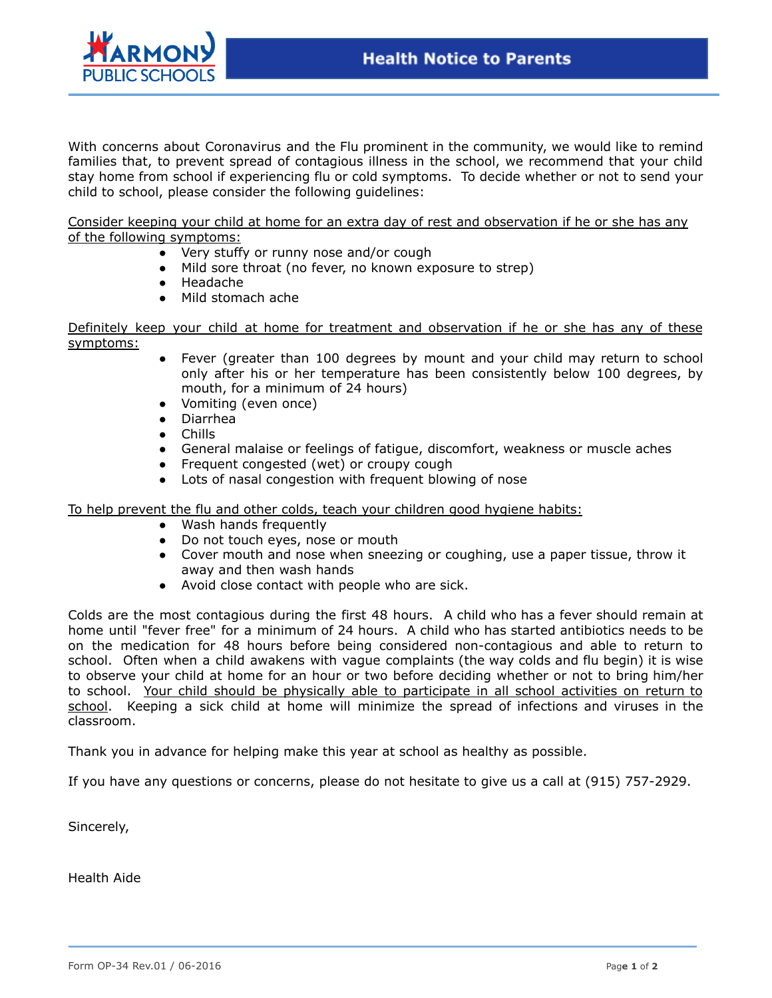

With concerns about Coronavirus and the Flu prominent in the community, we would like to remind families that, to prevent spread of contagious illness in the school, we recommend that your child stay home from school if experiencing flu or cold symptoms. To decide whether or not to send your child to school, please consider the following guidelines:

Consider keeping your child at home for an extra day of rest and observation if he or she has any of the following symptoms:

- Very stuffy or runny nose and/or cough
- Mild sore throat (no fever, no known exposure to strep)
- Headache
- Mild stomach ache

Definitely keep your child at home for treatment and observation if he or she has any of these symptoms:

- Fever (greater than 100 degrees by mount and your child may return to school only after his or her temperature has been consistently below 100 degrees, by mouth, for a minimum of 24 hours)
- Vomiting (even once)
- Diarrhea
- Chills
- General malaise or feelings of fatigue, discomfort, weakness or muscle aches
- Frequent congested (wet) or croupy cough
- Lots of nasal congestion with frequent blowing of nose

To help prevent the flu and other colds, teach your children good hygiene habits:

- Wash hands frequently
- Do not touch eyes, nose or mouth
- Cover mouth and nose when sneezing or coughing, use a paper tissue, throw it away and then wash hands
- Avoid close contact with people who are sick.

Colds are the most contagious during the first 48 hours. A child who has a fever should remain at home until "fever free" for a minimum of 24 hours. A child who has started antibiotics needs to be on the medication for 48 hours before being considered non-contagious and able to return to school. Often when a child awakens with vague complaints (the way colds and flu begin) it is wise to observe your child at home for an hour or two before deciding whether or not to bring him/her to school. Your child should be physically able to participate in all school activities on return to school. Keeping a sick child at home will minimize the spread of infections and viruses in the classroom.

Thank you in advance for helping make this year at school as healthy as possible.

If you have any questions or concerns, please do not hesitate to give us a call at (915) 757-2929.

Sincerely,

Health Aide